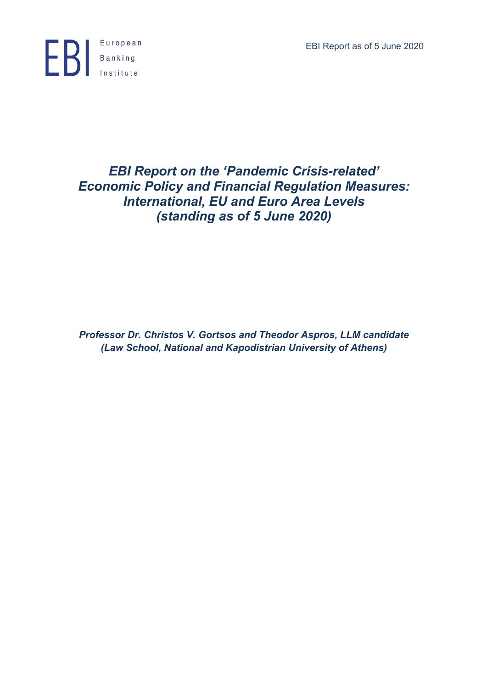EBI Report as of 5 June 2020



# *EBI Report on the 'Pandemic Crisis-related' Economic Policy and Financial Regulation Measures: International, EU and Euro Area Levels (standing as of 5 June 2020)*

*Professor Dr. Christos V. Gortsos and Theodor Aspros, LLM candidate (Law School, National and Kapodistrian University of Athens)*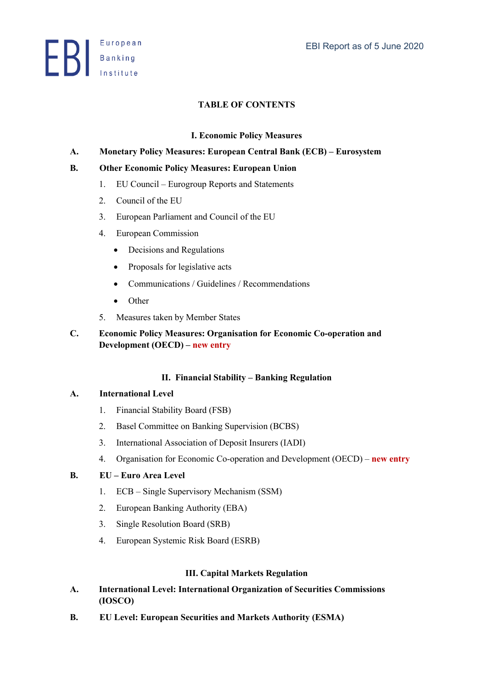**ED** Banking

### **TABLE OF CONTENTS**

#### **I. Economic Policy Measures**

#### **A. Monetary Policy Measures: European Central Bank (ECB) – Eurosystem**

#### **B. Other Economic Policy Measures: European Union**

- 1. EU Council Eurogroup Reports and Statements
- 2. Council of the EU
- 3. European Parliament and Council of the EU
- 4. European Commission
	- Decisions and Regulations
	- Proposals for legislative acts
	- Communications / Guidelines / Recommendations
	- Other
- 5. Measures taken by Member States
- **C. Economic Policy Measures: Organisation for Economic Co-operation and Development (OECD) – new entry**

#### **II. Financial Stability – Banking Regulation**

#### **A. International Level**

- 1. Financial Stability Board (FSB)
- 2. Basel Committee on Banking Supervision (BCBS)
- 3. International Association of Deposit Insurers (IADI)
- 4. Organisation for Economic Co-operation and Development (OECD) **new entry**

#### **B. EU – Euro Area Level**

- 1. ECB Single Supervisory Mechanism (SSM)
- 2. European Banking Authority (EBA)
- 3. Single Resolution Board (SRB)
- 4. European Systemic Risk Board (ESRB)

### **III. Capital Markets Regulation**

- **A. International Level: International Organization of Securities Commissions (IOSCO)**
- **B. EU Level: European Securities and Markets Authority (ESMA)**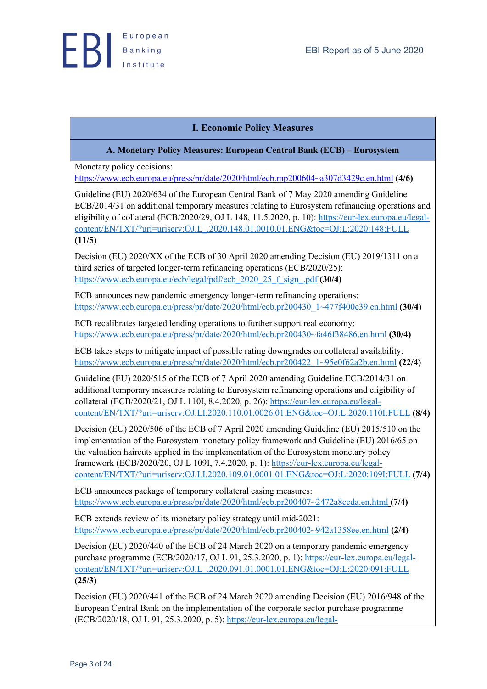

### **I. Economic Policy Measures**

#### **A. Monetary Policy Measures: European Central Bank (ECB) – Eurosystem**

Monetary policy decisions: https://www.ecb.europa.eu/press/pr/date/2020/html/ecb.mp200604~a307d3429c.en.html **(4/6)**

Guideline (EU) 2020/634 of the European Central Bank of 7 May 2020 amending Guideline ECB/2014/31 on additional temporary measures relating to Eurosystem refinancing operations and eligibility of collateral (ECB/2020/29, OJ L 148, 11.5.2020, p. 10): https://eur-lex.europa.eu/legalcontent/EN/TXT/?uri=uriserv:OJ.L\_.2020.148.01.0010.01.ENG&toc=OJ:L:2020:148:FULL **(11/5)**

Decision (EU) 2020/XX of the ECB of 30 April 2020 amending Decision (EU) 2019/1311 on a third series of targeted longer-term refinancing operations (ECB/2020/25): https://www.ecb.europa.eu/ecb/legal/pdf/ecb\_2020\_25\_f\_sign\_.pdf **(30/4)**

ECB announces new pandemic emergency longer-term refinancing operations: https://www.ecb.europa.eu/press/pr/date/2020/html/ecb.pr200430\_1~477f400e39.en.html **(30/4)**

ECB recalibrates targeted lending operations to further support real economy: https://www.ecb.europa.eu/press/pr/date/2020/html/ecb.pr200430~fa46f38486.en.html **(30/4)**

ECB takes steps to mitigate impact of possible rating downgrades on collateral availability: https://www.ecb.europa.eu/press/pr/date/2020/html/ecb.pr200422\_1~95e0f62a2b.en.html **(22/4)**

Guideline (EU) 2020/515 of the ECB of 7 April 2020 amending Guideline ECB/2014/31 on additional temporary measures relating to Eurosystem refinancing operations and eligibility of collateral (ECB/2020/21, OJ L 110I, 8.4.2020, p. 26): https://eur-lex.europa.eu/legalcontent/EN/TXT/?uri=uriserv:OJ.LI.2020.110.01.0026.01.ENG&toc=OJ:L:2020:110I:FULL **(8/4)**

Decision (EU) 2020/506 of the ECB of 7 April 2020 amending Guideline (EU) 2015/510 on the implementation of the Eurosystem monetary policy framework and Guideline (EU) 2016/65 on the valuation haircuts applied in the implementation of the Eurosystem monetary policy framework (ECB/2020/20, OJ L 109I, 7.4.2020, p. 1): https://eur-lex.europa.eu/legalcontent/EN/TXT/?uri=uriserv:OJ.LI.2020.109.01.0001.01.ENG&toc=OJ:L:2020:109I:FULL **(7/4)**

ECB announces package of temporary collateral easing measures: https://www.ecb.europa.eu/press/pr/date/2020/html/ecb.pr200407~2472a8ccda.en.html **(7/4)**

ECB extends review of its monetary policy strategy until mid-2021: https://www.ecb.europa.eu/press/pr/date/2020/html/ecb.pr200402~942a1358ee.en.html **(2/4)**

Decision (EU) 2020/440 of the ECB of 24 March 2020 on a temporary pandemic emergency purchase programme (ECB/2020/17, OJ L 91, 25.3.2020, p. 1): https://eur-lex.europa.eu/legalcontent/EN/TXT/?uri=uriserv:OJ.L\_.2020.091.01.0001.01.ENG&toc=OJ:L:2020:091:FULL **(25/3)**

Decision (EU) 2020/441 of the ECB of 24 March 2020 amending Decision (EU) 2016/948 of the European Central Bank on the implementation of the corporate sector purchase programme (ECB/2020/18, OJ L 91, 25.3.2020, p. 5): https://eur-lex.europa.eu/legal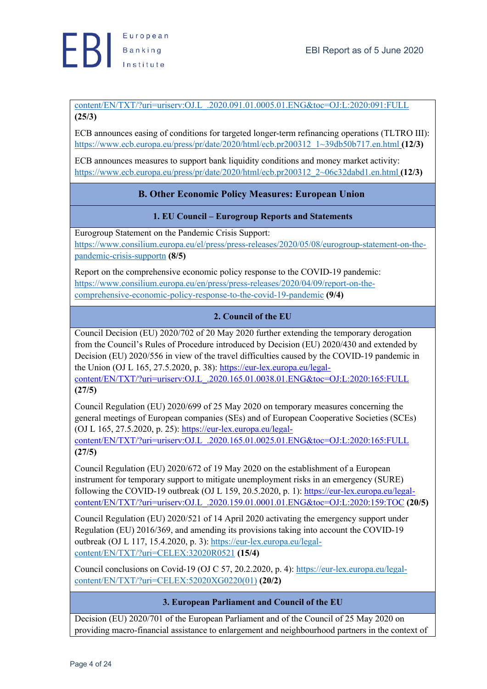content/EN/TXT/?uri=uriserv:OJ.L\_.2020.091.01.0005.01.ENG&toc=OJ:L:2020:091:FULL **(25/3)**

ECB announces easing of conditions for targeted longer-term refinancing operations (TLTRO III): https://www.ecb.europa.eu/press/pr/date/2020/html/ecb.pr200312\_1~39db50b717.en.html **(12/3)**

ECB announces measures to support bank liquidity conditions and money market activity: https://www.ecb.europa.eu/press/pr/date/2020/html/ecb.pr200312\_2~06c32dabd1.en.html **(12/3)**

### **B. Other Economic Policy Measures: European Union**

### **1. EU Council – Eurogroup Reports and Statements**

Eurogroup Statement on the Pandemic Crisis Support: https://www.consilium.europa.eu/el/press/press-releases/2020/05/08/eurogroup-statement-on-thepandemic-crisis-supportn **(8/5)**

Report on the comprehensive economic policy response to the COVID-19 pandemic: https://www.consilium.europa.eu/en/press/press-releases/2020/04/09/report-on-thecomprehensive-economic-policy-response-to-the-covid-19-pandemic **(9/4)**

### **2. Council of the EU**

Council Decision (EU) 2020/702 of 20 May 2020 further extending the temporary derogation from the Council's Rules of Procedure introduced by Decision (EU) 2020/430 and extended by Decision (EU) 2020/556 in view of the travel difficulties caused by the COVID-19 pandemic in the Union (OJ L 165, 27.5.2020, p. 38): https://eur-lex.europa.eu/legal-

content/EN/TXT/?uri=uriserv:OJ.L\_.2020.165.01.0038.01.ENG&toc=OJ:L:2020:165:FULL **(27/5)**

Council Regulation (EU) 2020/699 of 25 May 2020 on temporary measures concerning the general meetings of European companies (SEs) and of European Cooperative Societies (SCEs) (OJ L 165, 27.5.2020, p. 25): https://eur-lex.europa.eu/legal-

content/EN/TXT/?uri=uriserv:OJ.L\_.2020.165.01.0025.01.ENG&toc=OJ:L:2020:165:FULL **(27/5)**

Council Regulation (EU) 2020/672 of 19 May 2020 on the establishment of a European instrument for temporary support to mitigate unemployment risks in an emergency (SURE) following the COVID-19 outbreak (OJ L 159, 20.5.2020, p. 1): https://eur-lex.europa.eu/legalcontent/EN/TXT/?uri=uriserv:OJ.L\_.2020.159.01.0001.01.ENG&toc=OJ:L:2020:159:TOC **(20/5)**

Council Regulation (EU) 2020/521 of 14 April 2020 activating the emergency support under Regulation (EU) 2016/369, and amending its provisions taking into account the COVID‐19 outbreak (OJ L 117, 15.4.2020, p. 3): https://eur-lex.europa.eu/legalcontent/EN/TXT/?uri=CELEX:32020R0521 **(15/4)**

Council conclusions on Covid-19 (OJ C 57, 20.2.2020, p. 4): https://eur-lex.europa.eu/legalcontent/EN/TXT/?uri=CELEX:52020XG0220(01) **(20/2)**

### **3. European Parliament and Council of the EU**

Decision (EU) 2020/701 of the European Parliament and of the Council of 25 May 2020 on providing macro‐financial assistance to enlargement and neighbourhood partners in the context of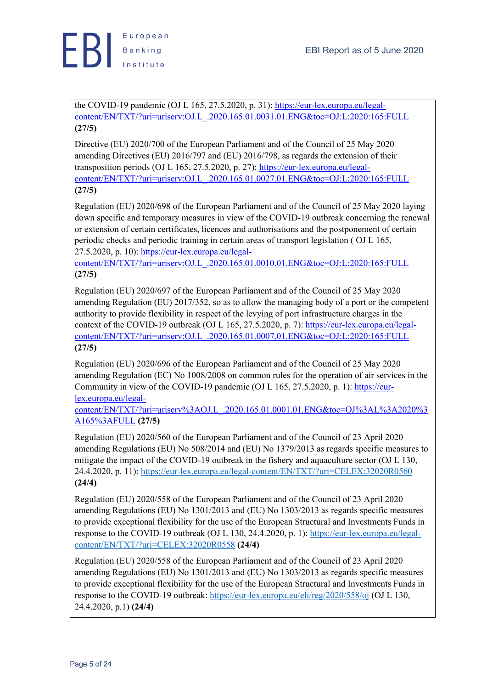

the COVID‐19 pandemic (OJ L 165, 27.5.2020, p. 31): https://eur-lex.europa.eu/legalcontent/EN/TXT/?uri=uriserv:OJ.L\_.2020.165.01.0031.01.ENG&toc=OJ:L:2020:165:FULL **(27/5)**

Directive (EU) 2020/700 of the European Parliament and of the Council of 25 May 2020 amending Directives (EU) 2016/797 and (EU) 2016/798, as regards the extension of their transposition periods (OJ L 165, 27.5.2020, p. 27): https://eur-lex.europa.eu/legalcontent/EN/TXT/?uri=uriserv:OJ.L\_.2020.165.01.0027.01.ENG&toc=OJ:L:2020:165:FULL **(27/5)**

Regulation (EU) 2020/698 of the European Parliament and of the Council of 25 May 2020 laying down specific and temporary measures in view of the COVID‐19 outbreak concerning the renewal or extension of certain certificates, licences and authorisations and the postponement of certain periodic checks and periodic training in certain areas of transport legislation ( OJ L 165, 27.5.2020, p. 10): https://eur-lex.europa.eu/legal-

content/EN/TXT/?uri=uriserv:OJ.L\_.2020.165.01.0010.01.ENG&toc=OJ:L:2020:165:FULL **(27/5)**

Regulation (EU) 2020/697 of the European Parliament and of the Council of 25 May 2020 amending Regulation (EU) 2017/352, so as to allow the managing body of a port or the competent authority to provide flexibility in respect of the levying of port infrastructure charges in the context of the COVID-19 outbreak (OJ L 165, 27.5.2020, p. 7): https://eur-lex.europa.eu/legalcontent/EN/TXT/?uri=uriserv:OJ.L\_.2020.165.01.0007.01.ENG&toc=OJ:L:2020:165:FULL **(27/5)**

Regulation (EU) 2020/696 of the European Parliament and of the Council of 25 May 2020 amending Regulation (EC) No 1008/2008 on common rules for the operation of air services in the Community in view of the COVID-19 pandemic (OJ L 165, 27.5.2020, p. 1): https://eurlex.europa.eu/legal-

content/EN/TXT/?uri=uriserv%3AOJ.L\_.2020.165.01.0001.01.ENG&toc=OJ%3AL%3A2020%3 A165%3AFULL **(27/5)**

Regulation (EU) 2020/560 of the European Parliament and of the Council of 23 April 2020 amending Regulations (EU) No 508/2014 and (EU) No 1379/2013 as regards specific measures to mitigate the impact of the COVID-19 outbreak in the fishery and aquaculture sector (OJ L 130, 24.4.2020, p. 11): https://eur-lex.europa.eu/legal-content/EN/TXT/?uri=CELEX:32020R0560 **(24/4)**

Regulation (EU) 2020/558 of the European Parliament and of the Council of 23 April 2020 amending Regulations (EU) No 1301/2013 and (EU) No 1303/2013 as regards specific measures to provide exceptional flexibility for the use of the European Structural and Investments Funds in response to the COVID-19 outbreak (OJ L 130, 24.4.2020, p. 1): https://eur-lex.europa.eu/legalcontent/EN/TXT/?uri=CELEX:32020R0558 **(24/4)**

Regulation (EU) 2020/558 of the European Parliament and of the Council of 23 April 2020 amending Regulations (EU) No 1301/2013 and (EU) No 1303/2013 as regards specific measures to provide exceptional flexibility for the use of the European Structural and Investments Funds in response to the COVID-19 outbreak: https://eur-lex.europa.eu/eli/reg/2020/558/oj (OJ L 130, 24.4.2020, p.1) **(24/4)**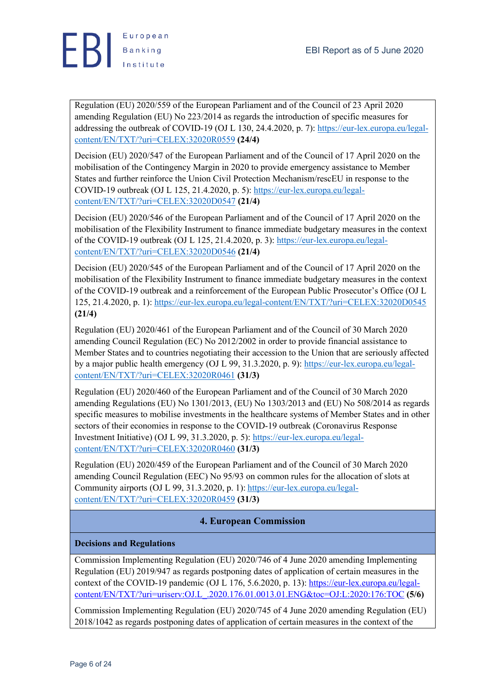

Regulation (EU) 2020/559 of the European Parliament and of the Council of 23 April 2020 amending Regulation (EU) No 223/2014 as regards the introduction of specific measures for addressing the outbreak of COVID-19 (OJ L 130, 24.4.2020, p. 7): https://eur-lex.europa.eu/legalcontent/EN/TXT/?uri=CELEX:32020R0559 **(24/4)**

Decision (EU) 2020/547 of the European Parliament and of the Council of 17 April 2020 on the mobilisation of the Contingency Margin in 2020 to provide emergency assistance to Member States and further reinforce the Union Civil Protection Mechanism/rescEU in response to the COVID-19 outbreak (OJ L 125, 21.4.2020, p. 5): https://eur-lex.europa.eu/legalcontent/EN/TXT/?uri=CELEX:32020D0547 **(21/4)**

Decision (EU) 2020/546 of the European Parliament and of the Council of 17 April 2020 on the mobilisation of the Flexibility Instrument to finance immediate budgetary measures in the context of the COVID-19 outbreak (OJ L 125, 21.4.2020, p. 3): https://eur-lex.europa.eu/legalcontent/EN/TXT/?uri=CELEX:32020D0546 **(21/4)**

Decision (EU) 2020/545 of the European Parliament and of the Council of 17 April 2020 on the mobilisation of the Flexibility Instrument to finance immediate budgetary measures in the context of the COVID-19 outbreak and a reinforcement of the European Public Prosecutor's Office (OJ L 125, 21.4.2020, p. 1): https://eur-lex.europa.eu/legal-content/EN/TXT/?uri=CELEX:32020D0545 **(21/4)**

Regulation (EU) 2020/461 of the European Parliament and of the Council of 30 March 2020 amending Council Regulation (EC) No 2012/2002 in order to provide financial assistance to Member States and to countries negotiating their accession to the Union that are seriously affected by a major public health emergency (OJ L 99, 31.3.2020, p. 9): https://eur-lex.europa.eu/legalcontent/EN/TXT/?uri=CELEX:32020R0461 **(31/3)**

Regulation (EU) 2020/460 of the European Parliament and of the Council of 30 March 2020 amending Regulations (EU) No 1301/2013, (EU) No 1303/2013 and (EU) No 508/2014 as regards specific measures to mobilise investments in the healthcare systems of Member States and in other sectors of their economies in response to the COVID-19 outbreak (Coronavirus Response Investment Initiative) (OJ L 99, 31.3.2020, p. 5): https://eur-lex.europa.eu/legalcontent/EN/TXT/?uri=CELEX:32020R0460 **(31/3)**

Regulation (EU) 2020/459 of the European Parliament and of the Council of 30 March 2020 amending Council Regulation (EEC) No 95/93 on common rules for the allocation of slots at Community airports (OJ L 99, 31.3.2020, p. 1): https://eur-lex.europa.eu/legalcontent/EN/TXT/?uri=CELEX:32020R0459 **(31/3)**

### **4. European Commission**

### **Decisions and Regulations**

Commission Implementing Regulation (EU) 2020/746 of 4 June 2020 amending Implementing Regulation (EU) 2019/947 as regards postponing dates of application of certain measures in the context of the COVID-19 pandemic (OJ L 176, 5.6.2020, p. 13): https://eur-lex.europa.eu/legalcontent/EN/TXT/?uri=uriserv:OJ.L\_.2020.176.01.0013.01.ENG&toc=OJ:L:2020:176:TOC **(5/6)**

Commission Implementing Regulation (EU) 2020/745 of 4 June 2020 amending Regulation (EU) 2018/1042 as regards postponing dates of application of certain measures in the context of the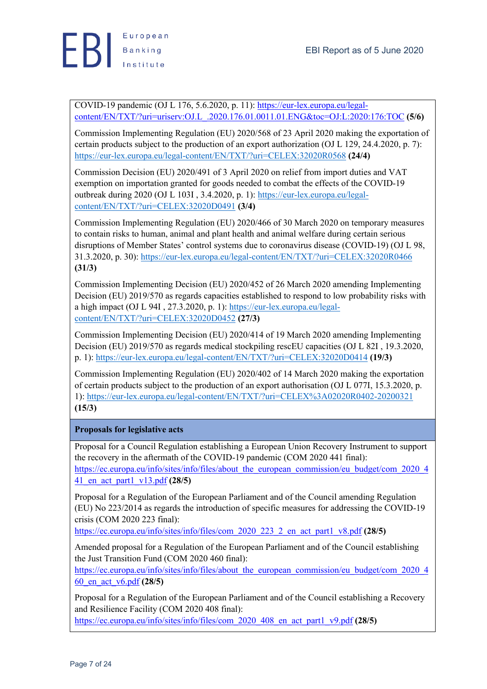

COVID-19 pandemic (OJ L 176, 5.6.2020, p. 11): https://eur-lex.europa.eu/legalcontent/EN/TXT/?uri=uriserv:OJ.L\_.2020.176.01.0011.01.ENG&toc=OJ:L:2020:176:TOC **(5/6)**

Commission Implementing Regulation (EU) 2020/568 of 23 April 2020 making the exportation of certain products subject to the production of an export authorization (OJ L 129, 24.4.2020, p. 7): https://eur-lex.europa.eu/legal-content/EN/TXT/?uri=CELEX:32020R0568 **(24/4)**

Commission Decision (EU) 2020/491 of 3 April 2020 on relief from import duties and VAT exemption on importation granted for goods needed to combat the effects of the COVID-19 outbreak during 2020 (OJ L 103I , 3.4.2020, p. 1): https://eur-lex.europa.eu/legalcontent/EN/TXT/?uri=CELEX:32020D0491 **(3/4)**

Commission Implementing Regulation (EU) 2020/466 of 30 March 2020 on temporary measures to contain risks to human, animal and plant health and animal welfare during certain serious disruptions of Member States' control systems due to coronavirus disease (COVID-19) (OJ L 98, 31.3.2020, p. 30): https://eur-lex.europa.eu/legal-content/EN/TXT/?uri=CELEX:32020R0466 **(31/3)**

Commission Implementing Decision (EU) 2020/452 of 26 March 2020 amending Implementing Decision (EU) 2019/570 as regards capacities established to respond to low probability risks with a high impact (OJ L 94I , 27.3.2020, p. 1): https://eur-lex.europa.eu/legalcontent/EN/TXT/?uri=CELEX:32020D0452 **(27/3)**

Commission Implementing Decision (EU) 2020/414 of 19 March 2020 amending Implementing Decision (EU) 2019/570 as regards medical stockpiling rescEU capacities (OJ L 82I , 19.3.2020, p. 1): https://eur-lex.europa.eu/legal-content/EN/TXT/?uri=CELEX:32020D0414 **(19/3)**

Commission Implementing Regulation (EU) 2020/402 of 14 March 2020 making the exportation of certain products subject to the production of an export authorisation (OJ L 077I, 15.3.2020, p. 1): https://eur-lex.europa.eu/legal-content/EN/TXT/?uri=CELEX%3A02020R0402-20200321 **(15/3)**

### **Proposals for legislative acts**

Proposal for a Council Regulation establishing a European Union Recovery Instrument to support the recovery in the aftermath of the COVID-19 pandemic (COM 2020 441 final): https://ec.europa.eu/info/sites/info/files/about\_the\_european\_commission/eu\_budget/com\_2020\_4 41\_en\_act\_part1\_v13.pdf **(28/5)**

Proposal for a Regulation of the European Parliament and of the Council amending Regulation (EU) No 223/2014 as regards the introduction of specific measures for addressing the COVID-19 crisis (COM 2020 223 final):

https://ec.europa.eu/info/sites/info/files/com\_2020\_223\_2\_en\_act\_part1\_v8.pdf **(28/5)**

Amended proposal for a Regulation of the European Parliament and of the Council establishing the Just Transition Fund (COM 2020 460 final):

https://ec.europa.eu/info/sites/info/files/about\_the\_european\_commission/eu\_budget/com\_2020\_4 60\_en\_act\_v6.pdf **(28/5)**

Proposal for a Regulation of the European Parliament and of the Council establishing a Recovery and Resilience Facility (COM 2020 408 final):

https://ec.europa.eu/info/sites/info/files/com\_2020\_408\_en\_act\_part1\_v9.pdf **(28/5)**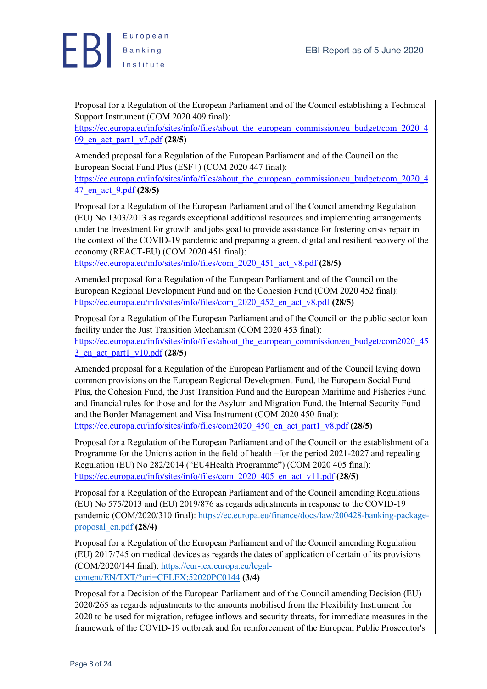

Proposal for a Regulation of the European Parliament and of the Council establishing a Technical Support Instrument (COM 2020 409 final):

https://ec.europa.eu/info/sites/info/files/about\_the\_european\_commission/eu\_budget/com\_2020\_4 09\_en\_act\_part1\_v7.pdf **(28/5)**

Amended proposal for a Regulation of the European Parliament and of the Council on the European Social Fund Plus (ESF+) (COM 2020 447 final):

https://ec.europa.eu/info/sites/info/files/about\_the\_european\_commission/eu\_budget/com\_2020\_4 47\_en\_act\_9.pdf **(28/5)**

Proposal for a Regulation of the European Parliament and of the Council amending Regulation (EU) No 1303/2013 as regards exceptional additional resources and implementing arrangements under the Investment for growth and jobs goal to provide assistance for fostering crisis repair in the context of the COVID-19 pandemic and preparing a green, digital and resilient recovery of the economy (REACT-EU) (COM 2020 451 final):

https://ec.europa.eu/info/sites/info/files/com\_2020\_451\_act\_v8.pdf **(28/5)**

Amended proposal for a Regulation of the European Parliament and of the Council on the European Regional Development Fund and on the Cohesion Fund (COM 2020 452 final): https://ec.europa.eu/info/sites/info/files/com\_2020\_452\_en\_act\_v8.pdf **(28/5)**

Proposal for a Regulation of the European Parliament and of the Council on the public sector loan facility under the Just Transition Mechanism (COM 2020 453 final): https://ec.europa.eu/info/sites/info/files/about\_the\_european\_commission/eu\_budget/com2020\_45 3\_en\_act\_part1\_v10.pdf **(28/5)**

Amended proposal for a Regulation of the European Parliament and of the Council laying down common provisions on the European Regional Development Fund, the European Social Fund Plus, the Cohesion Fund, the Just Transition Fund and the European Maritime and Fisheries Fund and financial rules for those and for the Asylum and Migration Fund, the Internal Security Fund and the Border Management and Visa Instrument (COM 2020 450 final): https://ec.europa.eu/info/sites/info/files/com2020\_450\_en\_act\_part1\_v8.pdf **(28/5)**

Proposal for a Regulation of the European Parliament and of the Council on the establishment of a Programme for the Union's action in the field of health –for the period 2021-2027 and repealing Regulation (EU) No 282/2014 ("EU4Health Programme") (COM 2020 405 final): https://ec.europa.eu/info/sites/info/files/com\_2020\_405\_en\_act\_v11.pdf **(28/5)**

Proposal for a Regulation of the European Parliament and of the Council amending Regulations (EU) No 575/2013 and (EU) 2019/876 as regards adjustments in response to the COVID-19 pandemic (COM/2020/310 final): https://ec.europa.eu/finance/docs/law/200428-banking-packageproposal\_en.pdf **(28/4)**

Proposal for a Regulation of the European Parliament and of the Council amending Regulation (EU) 2017/745 on medical devices as regards the dates of application of certain of its provisions (COM/2020/144 final): https://eur-lex.europa.eu/legalcontent/EN/TXT/?uri=CELEX:52020PC0144 **(3/4)**

Proposal for a Decision of the European Parliament and of the Council amending Decision (EU) 2020/265 as regards adjustments to the amounts mobilised from the Flexibility Instrument for 2020 to be used for migration, refugee inflows and security threats, for immediate measures in the framework of the COVID-19 outbreak and for reinforcement of the European Public Prosecutor's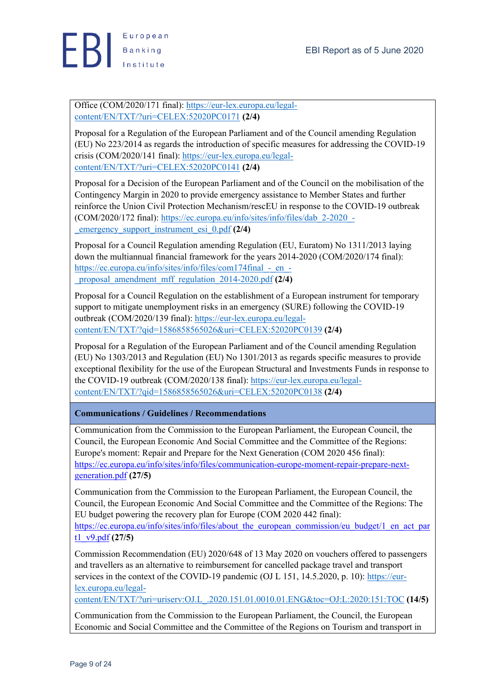

Office (COM/2020/171 final): https://eur-lex.europa.eu/legalcontent/EN/TXT/?uri=CELEX:52020PC0171 **(2/4)**

Proposal for a Regulation of the European Parliament and of the Council amending Regulation (EU) No 223/2014 as regards the introduction of specific measures for addressing the COVID-19 crisis (COM/2020/141 final): https://eur-lex.europa.eu/legalcontent/EN/TXT/?uri=CELEX:52020PC0141 **(2/4)**

Proposal for a Decision of the European Parliament and of the Council on the mobilisation of the Contingency Margin in 2020 to provide emergency assistance to Member States and further reinforce the Union Civil Protection Mechanism/rescEU in response to the COVID-19 outbreak (COM/2020/172 final): https://ec.europa.eu/info/sites/info/files/dab\_2-2020\_- \_emergency\_support\_instrument\_esi\_0.pdf **(2/4)**

Proposal for a Council Regulation amending Regulation (EU, Euratom) No 1311/2013 laying down the multiannual financial framework for the years 2014-2020 (COM/2020/174 final): https://ec.europa.eu/info/sites/info/files/com174final - en -\_proposal\_amendment\_mff\_regulation\_2014-2020.pdf **(2/4)**

Proposal for a Council Regulation on the establishment of a European instrument for temporary support to mitigate unemployment risks in an emergency (SURE) following the COVID-19 outbreak (COM/2020/139 final): https://eur-lex.europa.eu/legalcontent/EN/TXT/?qid=1586858565026&uri=CELEX:52020PC0139 **(2/4)**

Proposal for a Regulation of the European Parliament and of the Council amending Regulation (EU) No 1303/2013 and Regulation (EU) No 1301/2013 as regards specific measures to provide exceptional flexibility for the use of the European Structural and Investments Funds in response to the COVID-19 outbreak (COM/2020/138 final): https://eur-lex.europa.eu/legalcontent/EN/TXT/?qid=1586858565026&uri=CELEX:52020PC0138 **(2/4)**

**Communications / Guidelines / Recommendations**

Communication from the Commission to the European Parliament, the European Council, the Council, the European Economic And Social Committee and the Committee of the Regions: Europe's moment: Repair and Prepare for the Next Generation (COM 2020 456 final): https://ec.europa.eu/info/sites/info/files/communication-europe-moment-repair-prepare-nextgeneration.pdf **(27/5)**

Communication from the Commission to the European Parliament, the European Council, the Council, the European Economic And Social Committee and the Committee of the Regions: The EU budget powering the recovery plan for Europe (COM 2020 442 final):

https://ec.europa.eu/info/sites/info/files/about\_the\_european\_commission/eu\_budget/1\_en\_act\_par t1\_v9.pdf **(27/5)**

Commission Recommendation (EU) 2020/648 of 13 May 2020 on vouchers offered to passengers and travellers as an alternative to reimbursement for cancelled package travel and transport services in the context of the COVID-19 pandemic (OJ L 151, 14.5.2020, p. 10): https://eurlex.europa.eu/legal-

content/EN/TXT/?uri=uriserv:OJ.L\_.2020.151.01.0010.01.ENG&toc=OJ:L:2020:151:TOC **(14/5)**

Communication from the Commission to the European Parliament, the Council, the European Economic and Social Committee and the Committee of the Regions on Tourism and transport in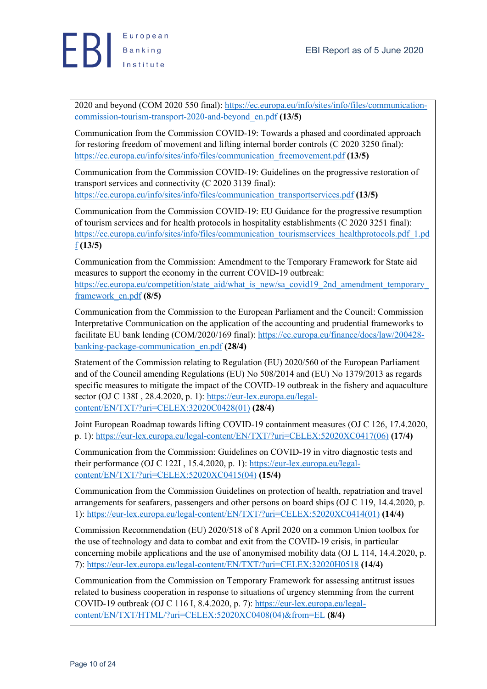2020 and beyond (COM 2020 550 final): https://ec.europa.eu/info/sites/info/files/communicationcommission-tourism-transport-2020-and-beyond\_en.pdf **(13/5)**

Communication from the Commission COVID-19: Towards a phased and coordinated approach for restoring freedom of movement and lifting internal border controls (C 2020 3250 final): https://ec.europa.eu/info/sites/info/files/communication\_freemovement.pdf **(13/5)**

Communication from the Commission COVID-19: Guidelines on the progressive restoration of transport services and connectivity (C 2020 3139 final):

https://ec.europa.eu/info/sites/info/files/communication\_transportservices.pdf **(13/5)**

Communication from the Commission COVID-19: EU Guidance for the progressive resumption of tourism services and for health protocols in hospitality establishments (C 2020 3251 final): https://ec.europa.eu/info/sites/info/files/communication\_tourismservices\_healthprotocols.pdf\_1.pd f **(13/5)**

Communication from the Commission: Amendment to the Temporary Framework for State aid measures to support the economy in the current COVID-19 outbreak: https://ec.europa.eu/competition/state\_aid/what\_is\_new/sa\_covid19\_2nd\_amendment\_temporary framework\_en.pdf **(8/5)**

Communication from the Commission to the European Parliament and the Council: Commission Interpretative Communication on the application of the accounting and prudential frameworks to facilitate EU bank lending (COM/2020/169 final): https://ec.europa.eu/finance/docs/law/200428 banking-package-communication\_en.pdf **(28/4)**

Statement of the Commission relating to Regulation (EU) 2020/560 of the European Parliament and of the Council amending Regulations (EU) No 508/2014 and (EU) No 1379/2013 as regards specific measures to mitigate the impact of the COVID-19 outbreak in the fishery and aquaculture sector (OJ C 138I, 28.4.2020, p. 1): https://eur-lex.europa.eu/legalcontent/EN/TXT/?uri=CELEX:32020C0428(01) **(28/4)**

Joint European Roadmap towards lifting COVID-19 containment measures (OJ C 126, 17.4.2020, p. 1): https://eur-lex.europa.eu/legal-content/EN/TXT/?uri=CELEX:52020XC0417(06) **(17/4)**

Communication from the Commission: Guidelines on COVID-19 in vitro diagnostic tests and their performance (OJ C 122I , 15.4.2020, p. 1): https://eur-lex.europa.eu/legalcontent/EN/TXT/?uri=CELEX:52020XC0415(04) **(15/4)**

Communication from the Commission Guidelines on protection of health, repatriation and travel arrangements for seafarers, passengers and other persons on board ships (OJ C 119, 14.4.2020, p. 1): https://eur-lex.europa.eu/legal-content/EN/TXT/?uri=CELEX:52020XC0414(01) **(14/4)**

Commission Recommendation (EU) 2020/518 of 8 April 2020 on a common Union toolbox for the use of technology and data to combat and exit from the COVID-19 crisis, in particular concerning mobile applications and the use of anonymised mobility data (OJ L 114, 14.4.2020, p. 7): https://eur-lex.europa.eu/legal-content/EN/TXT/?uri=CELEX:32020H0518 **(14/4)**

Communication from the Commission on Temporary Framework for assessing antitrust issues related to business cooperation in response to situations of urgency stemming from the current COVID-19 outbreak (OJ C 116 I, 8.4.2020, p. 7): https://eur-lex.europa.eu/legalcontent/EN/TXT/HTML/?uri=CELEX:52020XC0408(04)&from=EL **(8/4)**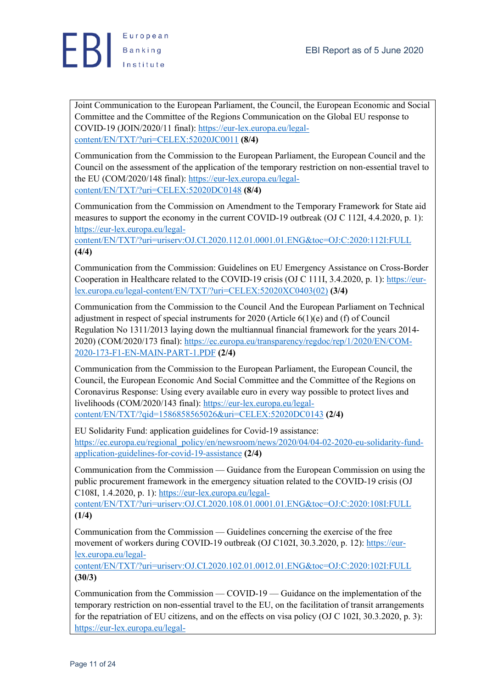

Joint Communication to the European Parliament, the Council, the European Economic and Social Committee and the Committee of the Regions Communication on the Global EU response to COVID-19 (JOIN/2020/11 final): https://eur-lex.europa.eu/legalcontent/EN/TXT/?uri=CELEX:52020JC0011 **(8/4)**

Communication from the Commission to the European Parliament, the European Council and the Council on the assessment of the application of the temporary restriction on non-essential travel to the EU (COM/2020/148 final): https://eur-lex.europa.eu/legalcontent/EN/TXT/?uri=CELEX:52020DC0148 **(8/4)**

Communication from the Commission on Amendment to the Temporary Framework for State aid measures to support the economy in the current COVID-19 outbreak (OJ C 112I, 4.4.2020, p. 1): https://eur-lex.europa.eu/legal-

content/EN/TXT/?uri=uriserv:OJ.CI.2020.112.01.0001.01.ENG&toc=OJ:C:2020:112I:FULL **(4/4)**

Communication from the Commission: Guidelines on EU Emergency Assistance on Cross-Border Cooperation in Healthcare related to the COVID-19 crisis (OJ C 111I, 3.4.2020, p. 1): https://eurlex.europa.eu/legal-content/EN/TXT/?uri=CELEX:52020XC0403(02) **(3/4)**

Communication from the Commission to the Council And the European Parliament on Technical adjustment in respect of special instruments for 2020 (Article 6(1)(e) and (f) of Council Regulation No 1311/2013 laying down the multiannual financial framework for the years 2014- 2020) (COM/2020/173 final): https://ec.europa.eu/transparency/regdoc/rep/1/2020/EN/COM-2020-173-F1-EN-MAIN-PART-1.PDF **(2/4)**

Communication from the Commission to the European Parliament, the European Council, the Council, the European Economic And Social Committee and the Committee of the Regions on Coronavirus Response: Using every available euro in every way possible to protect lives and livelihoods (COM/2020/143 final): https://eur-lex.europa.eu/legalcontent/EN/TXT/?qid=1586858565026&uri=CELEX:52020DC0143 **(2/4)**

EU Solidarity Fund: application guidelines for Covid-19 assistance: https://ec.europa.eu/regional\_policy/en/newsroom/news/2020/04/04-02-2020-eu-solidarity-fundapplication-guidelines-for-covid-19-assistance **(2/4)**

Communication from the Commission — Guidance from the European Commission on using the public procurement framework in the emergency situation related to the COVID-19 crisis (OJ C108I, 1.4.2020, p. 1): https://eur-lex.europa.eu/legal-

content/EN/TXT/?uri=uriserv:OJ.CI.2020.108.01.0001.01.ENG&toc=OJ:C:2020:108I:FULL **(1/4)**

Communication from the Commission — Guidelines concerning the exercise of the free movement of workers during COVID-19 outbreak (OJ C102I, 30.3.2020, p. 12): https://eurlex.europa.eu/legal-

content/EN/TXT/?uri=uriserv:OJ.CI.2020.102.01.0012.01.ENG&toc=OJ:C:2020:102I:FULL **(30/3)**

Communication from the Commission — COVID-19 — Guidance on the implementation of the temporary restriction on non-essential travel to the EU, on the facilitation of transit arrangements for the repatriation of EU citizens, and on the effects on visa policy (OJ C 102I, 30.3.2020, p. 3): https://eur-lex.europa.eu/legal-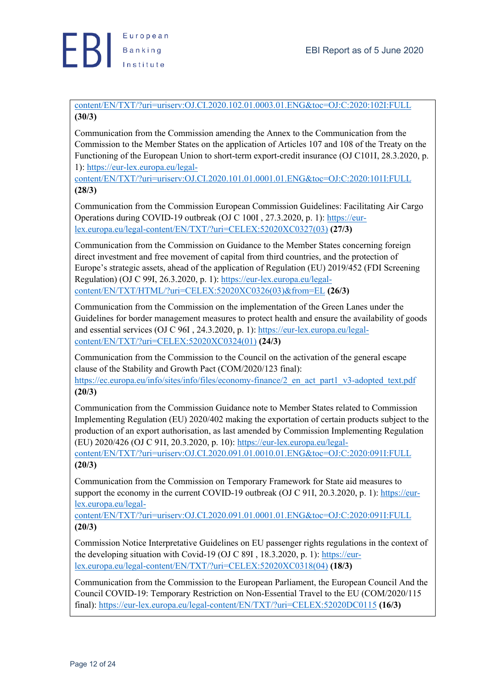

content/EN/TXT/?uri=uriserv:OJ.CI.2020.102.01.0003.01.ENG&toc=OJ:C:2020:102I:FULL **(30/3)**

Communication from the Commission amending the Annex to the Communication from the Commission to the Member States on the application of Articles 107 and 108 of the Treaty on the Functioning of the European Union to short-term export-credit insurance (OJ C101I, 28.3.2020, p. 1): https://eur-lex.europa.eu/legal-

content/EN/TXT/?uri=uriserv:OJ.CI.2020.101.01.0001.01.ENG&toc=OJ:C:2020:101I:FULL **(28/3)**

Communication from the Commission European Commission Guidelines: Facilitating Air Cargo Operations during COVID-19 outbreak (OJ C 100I , 27.3.2020, p. 1): https://eurlex.europa.eu/legal-content/EN/TXT/?uri=CELEX:52020XC0327(03) **(27/3)**

Communication from the Commission on Guidance to the Member States concerning foreign direct investment and free movement of capital from third countries, and the protection of Europe's strategic assets, ahead of the application of Regulation (EU) 2019/452 (FDI Screening Regulation) (OJ C 99I, 26.3.2020, p. 1): https://eur-lex.europa.eu/legalcontent/EN/TXT/HTML/?uri=CELEX:52020XC0326(03)&from=EL **(26/3)**

Communication from the Commission on the implementation of the Green Lanes under the Guidelines for border management measures to protect health and ensure the availability of goods and essential services (OJ C 96I , 24.3.2020, p. 1): https://eur-lex.europa.eu/legalcontent/EN/TXT/?uri=CELEX:52020XC0324(01) **(24/3)**

Communication from the Commission to the Council on the activation of the general escape clause of the Stability and Growth Pact (COM/2020/123 final): https://ec.europa.eu/info/sites/info/files/economy-finance/2 en act\_part1\_v3-adopted\_text.pdf **(20/3)**

Communication from the Commission Guidance note to Member States related to Commission Implementing Regulation (EU) 2020/402 making the exportation of certain products subject to the production of an export authorisation, as last amended by Commission Implementing Regulation (EU) 2020/426 (OJ C 91I, 20.3.2020, p. 10): https://eur-lex.europa.eu/legal-

content/EN/TXT/?uri=uriserv:OJ.CI.2020.091.01.0010.01.ENG&toc=OJ:C:2020:091I:FULL **(20/3)**

Communication from the Commission on Temporary Framework for State aid measures to support the economy in the current COVID-19 outbreak (OJ C 91I, 20.3.2020, p. 1): https://eurlex.europa.eu/legal-

content/EN/TXT/?uri=uriserv:OJ.CI.2020.091.01.0001.01.ENG&toc=OJ:C:2020:091I:FULL **(20/3)**

Commission Notice Interpretative Guidelines on EU passenger rights regulations in the context of the developing situation with Covid-19 (OJ C 89I , 18.3.2020, p. 1): https://eurlex.europa.eu/legal-content/EN/TXT/?uri=CELEX:52020XC0318(04) **(18/3)**

Communication from the Commission to the European Parliament, the European Council And the Council COVID-19: Temporary Restriction on Non-Essential Travel to the EU (COM/2020/115 final): https://eur-lex.europa.eu/legal-content/EN/TXT/?uri=CELEX:52020DC0115 **(16/3)**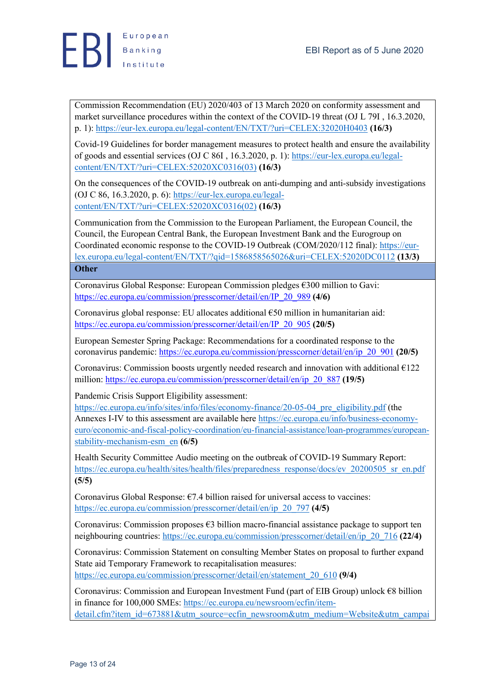

Commission Recommendation (EU) 2020/403 of 13 March 2020 on conformity assessment and market surveillance procedures within the context of the COVID-19 threat (OJ L 79I , 16.3.2020, p. 1): https://eur-lex.europa.eu/legal-content/EN/TXT/?uri=CELEX:32020H0403 **(16/3)**

Covid-19 Guidelines for border management measures to protect health and ensure the availability of goods and essential services (OJ C 86I, 16.3.2020, p. 1): https://eur-lex.europa.eu/legalcontent/EN/TXT/?uri=CELEX:52020XC0316(03) **(16/3)**

On the consequences of the COVID-19 outbreak on anti-dumping and anti-subsidy investigations (OJ C 86, 16.3.2020, p. 6): https://eur-lex.europa.eu/legalcontent/EN/TXT/?uri=CELEX:52020XC0316(02) **(16/3)**

Communication from the Commission to the European Parliament, the European Council, the Council, the European Central Bank, the European Investment Bank and the Eurogroup on Coordinated economic response to the COVID-19 Outbreak (COM/2020/112 final): https://eurlex.europa.eu/legal-content/EN/TXT/?qid=1586858565026&uri=CELEX:52020DC0112 **(13/3) Other**

Coronavirus Global Response: European Commission pledges €300 million to Gavi: https://ec.europa.eu/commission/presscorner/detail/en/IP\_20\_989 **(4/6)**

Coronavirus global response: EU allocates additional €50 million in humanitarian aid: https://ec.europa.eu/commission/presscorner/detail/en/IP\_20\_905 **(20/5)**

European Semester Spring Package: Recommendations for a coordinated response to the coronavirus pandemic: https://ec.europa.eu/commission/presscorner/detail/en/ip\_20\_901 **(20/5)**

Coronavirus: Commission boosts urgently needed research and innovation with additional  $E122$ million: https://ec.europa.eu/commission/presscorner/detail/en/ip\_20\_887 **(19/5)**

Pandemic Crisis Support Eligibility assessment:

https://ec.europa.eu/info/sites/info/files/economy-finance/20-05-04 pre eligibility.pdf (the Annexes I-IV to this assessment are available here https://ec.europa.eu/info/business-economyeuro/economic-and-fiscal-policy-coordination/eu-financial-assistance/loan-programmes/europeanstability-mechanism-esm\_en **(6/5)**

Health Security Committee Audio meeting on the outbreak of COVID-19 Summary Report: https://ec.europa.eu/health/sites/health/files/preparedness\_response/docs/ev\_20200505\_sr\_en.pdf **(5/5)**

Coronavirus Global Response:  $\epsilon$ 7.4 billion raised for universal access to vaccines: https://ec.europa.eu/commission/presscorner/detail/en/ip\_20\_797 **(4/5)**

Coronavirus: Commission proposes  $\epsilon$ 3 billion macro-financial assistance package to support ten neighbouring countries: https://ec.europa.eu/commission/presscorner/detail/en/ip\_20\_716 **(22/4)** 

Coronavirus: Commission Statement on consulting Member States on proposal to further expand State aid Temporary Framework to recapitalisation measures: https://ec.europa.eu/commission/presscorner/detail/en/statement\_20\_610 **(9/4)**

Coronavirus: Commission and European Investment Fund (part of EIB Group) unlock €8 billion in finance for 100,000 SMEs: https://ec.europa.eu/newsroom/ecfin/itemdetail.cfm?item\_id=673881&utm\_source=ecfin\_newsroom&utm\_medium=Website&utm\_campai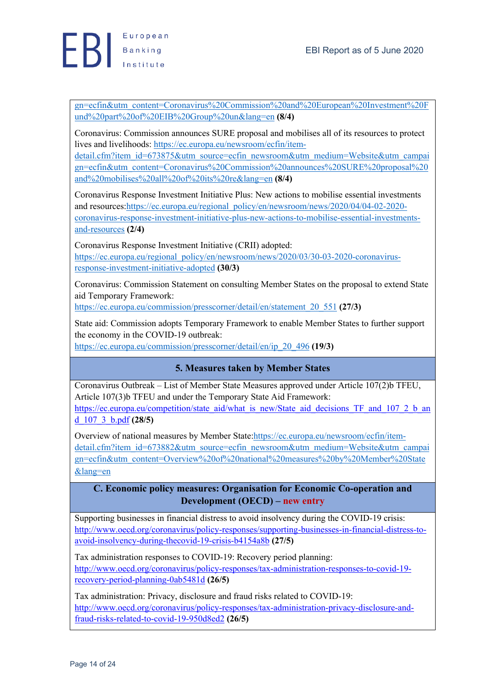gn=ecfin&utm\_content=Coronavirus%20Commission%20and%20European%20Investment%20F und%20part%20of%20EIB%20Group%20un&lang=en **(8/4)**

Coronavirus: Commission announces SURE proposal and mobilises all of its resources to protect lives and livelihoods: https://ec.europa.eu/newsroom/ecfin/item-

detail.cfm?item\_id=673875&utm\_source=ecfin\_newsroom&utm\_medium=Website&utm\_campai gn=ecfin&utm\_content=Coronavirus%20Commission%20announces%20SURE%20proposal%20 and%20mobilises%20all%20of%20its%20re&lang=en **(8/4)**

Coronavirus Response Investment Initiative Plus: New actions to mobilise essential investments and resources:https://ec.europa.eu/regional\_policy/en/newsroom/news/2020/04/04-02-2020 coronavirus-response-investment-initiative-plus-new-actions-to-mobilise-essential-investmentsand-resources **(2/4)**

Coronavirus Response Investment Initiative (CRII) adopted: https://ec.europa.eu/regional\_policy/en/newsroom/news/2020/03/30-03-2020-coronavirusresponse-investment-initiative-adopted **(30/3)**

Coronavirus: Commission Statement on consulting Member States on the proposal to extend State aid Temporary Framework:

https://ec.europa.eu/commission/presscorner/detail/en/statement\_20\_551 **(27/3)**

State aid: Commission adopts Temporary Framework to enable Member States to further support the economy in the COVID-19 outbreak:

https://ec.europa.eu/commission/presscorner/detail/en/ip\_20\_496 **(19/3)**

### **5. Measures taken by Member States**

Coronavirus Outbreak – List of Member State Measures approved under Article 107(2)b TFEU, Article 107(3)b TFEU and under the Temporary State Aid Framework: https://ec.europa.eu/competition/state\_aid/what\_is\_new/State\_aid\_decisions\_TF\_and\_107\_2\_b\_an d\_107\_3\_b.pdf **(28/5)**

Overview of national measures by Member State:https://ec.europa.eu/newsroom/ecfin/itemdetail.cfm?item\_id=673882&utm\_source=ecfin\_newsroom&utm\_medium=Website&utm\_campai gn=ecfin&utm\_content=Overview%20of%20national%20measures%20by%20Member%20State &lang=en

### **C. Economic policy measures: Organisation for Economic Co-operation and Development (OECD) – new entry**

Supporting businesses in financial distress to avoid insolvency during the COVID-19 crisis: http://www.oecd.org/coronavirus/policy-responses/supporting-businesses-in-financial-distress-toavoid-insolvency-during-thecovid-19-crisis-b4154a8b **(27/5)**

Tax administration responses to COVID-19: Recovery period planning: http://www.oecd.org/coronavirus/policy-responses/tax-administration-responses-to-covid-19 recovery-period-planning-0ab5481d **(26/5)**

Tax administration: Privacy, disclosure and fraud risks related to COVID-19: http://www.oecd.org/coronavirus/policy-responses/tax-administration-privacy-disclosure-andfraud-risks-related-to-covid-19-950d8ed2 **(26/5)**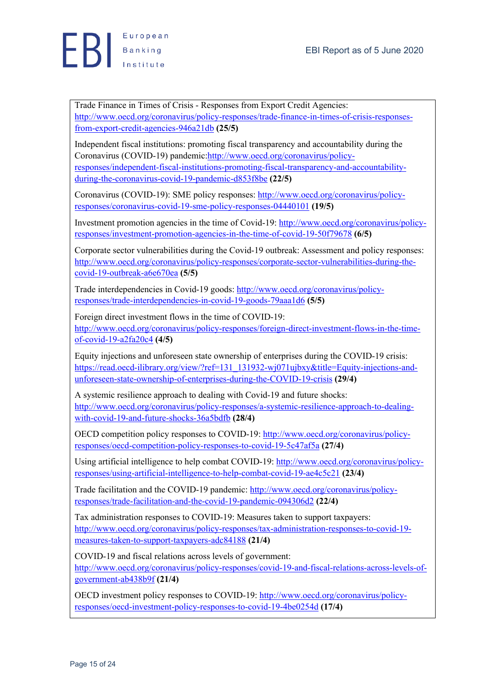Trade Finance in Times of Crisis - Responses from Export Credit Agencies: http://www.oecd.org/coronavirus/policy-responses/trade-finance-in-times-of-crisis-responsesfrom-export-credit-agencies-946a21db **(25/5)**

Independent fiscal institutions: promoting fiscal transparency and accountability during the Coronavirus (COVID-19) pandemic:http://www.oecd.org/coronavirus/policyresponses/independent-fiscal-institutions-promoting-fiscal-transparency-and-accountabilityduring-the-coronavirus-covid-19-pandemic-d853f8be **(22/5)**

Coronavirus (COVID-19): SME policy responses: http://www.oecd.org/coronavirus/policyresponses/coronavirus-covid-19-sme-policy-responses-04440101 **(19/5)**

Investment promotion agencies in the time of Covid-19: http://www.oecd.org/coronavirus/policyresponses/investment-promotion-agencies-in-the-time-of-covid-19-50f79678 **(6/5)**

Corporate sector vulnerabilities during the Covid-19 outbreak: Assessment and policy responses: http://www.oecd.org/coronavirus/policy-responses/corporate-sector-vulnerabilities-during-thecovid-19-outbreak-a6e670ea **(5/5)**

Trade interdependencies in Covid-19 goods: http://www.oecd.org/coronavirus/policyresponses/trade-interdependencies-in-covid-19-goods-79aaa1d6 **(5/5)**

Foreign direct investment flows in the time of COVID-19: http://www.oecd.org/coronavirus/policy-responses/foreign-direct-investment-flows-in-the-timeof-covid-19-a2fa20c4 **(4/5)**

Equity injections and unforeseen state ownership of enterprises during the COVID-19 crisis: https://read.oecd-ilibrary.org/view/?ref=131\_131932-wj071ujbxy&title=Equity-injections-andunforeseen-state-ownership-of-enterprises-during-the-COVID-19-crisis **(29/4)**

A systemic resilience approach to dealing with Covid-19 and future shocks: http://www.oecd.org/coronavirus/policy-responses/a-systemic-resilience-approach-to-dealingwith-covid-19-and-future-shocks-36a5bdfb **(28/4)**

OECD competition policy responses to COVID-19: http://www.oecd.org/coronavirus/policyresponses/oecd-competition-policy-responses-to-covid-19-5c47af5a **(27/4)**

Using artificial intelligence to help combat COVID-19: http://www.oecd.org/coronavirus/policyresponses/using-artificial-intelligence-to-help-combat-covid-19-ae4c5c21 **(23/4)**

Trade facilitation and the COVID-19 pandemic: http://www.oecd.org/coronavirus/policyresponses/trade-facilitation-and-the-covid-19-pandemic-094306d2 **(22/4)**

Tax administration responses to COVID-19: Measures taken to support taxpayers: http://www.oecd.org/coronavirus/policy-responses/tax-administration-responses-to-covid-19 measures-taken-to-support-taxpayers-adc84188 **(21/4)**

COVID-19 and fiscal relations across levels of government: http://www.oecd.org/coronavirus/policy-responses/covid-19-and-fiscal-relations-across-levels-ofgovernment-ab438b9f **(21/4)**

OECD investment policy responses to COVID-19: http://www.oecd.org/coronavirus/policyresponses/oecd-investment-policy-responses-to-covid-19-4be0254d **(17/4)**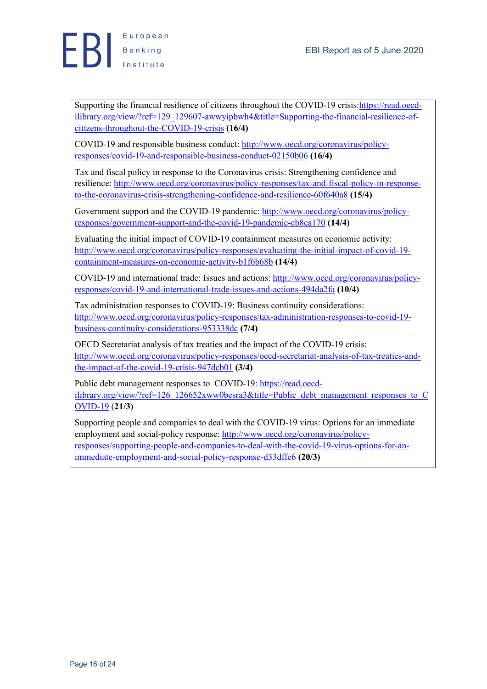

Supporting the financial resilience of citizens throughout the COVID-19 crisis:https://read.oecdilibrary.org/view/?ref=129\_129607-awwyipbwh4&title=Supporting-the-financial-resilience-ofcitizens-throughout-the-COVID-19-crisis **(16/4)**

COVID-19 and responsible business conduct: http://www.oecd.org/coronavirus/policyresponses/covid-19-and-responsible-business-conduct-02150b06 **(16/4)**

Tax and fiscal policy in response to the Coronavirus crisis: Strengthening confidence and resilience: http://www.oecd.org/coronavirus/policy-responses/tax-and-fiscal-policy-in-responseto-the-coronavirus-crisis-strengthening-confidence-and-resilience-60f640a8 **(15/4)**

Government support and the COVID-19 pandemic: http://www.oecd.org/coronavirus/policyresponses/government-support-and-the-covid-19-pandemic-cb8ca170 **(14/4)**

Evaluating the initial impact of COVID-19 containment measures on economic activity: http://www.oecd.org/coronavirus/policy-responses/evaluating-the-initial-impact-of-covid-19 containment-measures-on-economic-activity-b1f6b68b **(14/4)**

COVID-19 and international trade: Issues and actions: http://www.oecd.org/coronavirus/policyresponses/covid-19-and-international-trade-issues-and-actions-494da2fa **(10/4)**

Tax administration responses to COVID-19: Business continuity considerations: http://www.oecd.org/coronavirus/policy-responses/tax-administration-responses-to-covid-19 business-continuity-considerations-953338dc **(7/4)**

OECD Secretariat analysis of tax treaties and the impact of the COVID-19 crisis: http://www.oecd.org/coronavirus/policy-responses/oecd-secretariat-analysis-of-tax-treaties-andthe-impact-of-the-covid-19-crisis-947dcb01 **(3/4)**

Public debt management responses to COVID-19: https://read.oecdilibrary.org/view/?ref=126\_126652xww0besra3&title=Public\_debt\_management\_responses\_to\_C OVID-19 (**21/3)**

Supporting people and companies to deal with the COVID-19 virus: Options for an immediate employment and social-policy response: http://www.oecd.org/coronavirus/policyresponses/supporting-people-and-companies-to-deal-with-the-covid-19-virus-options-for-animmediate-employment-and-social-policy-response-d33dffe6 **(20/3)**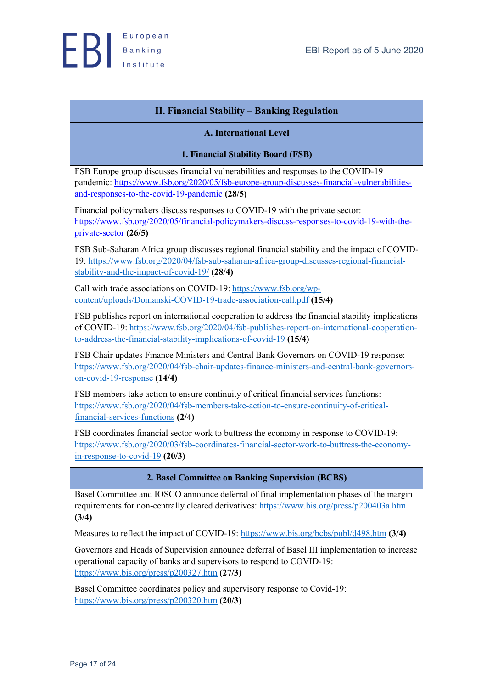

## **II. Financial Stability – Banking Regulation**

#### **A. International Level**

#### **1. Financial Stability Board (FSB)**

FSB Europe group discusses financial vulnerabilities and responses to the COVID-19 pandemic: https://www.fsb.org/2020/05/fsb-europe-group-discusses-financial-vulnerabilitiesand-responses-to-the-covid-19-pandemic **(28/5)**

Financial policymakers discuss responses to COVID-19 with the private sector: https://www.fsb.org/2020/05/financial-policymakers-discuss-responses-to-covid-19-with-theprivate-sector **(26/5)**

FSB Sub-Saharan Africa group discusses regional financial stability and the impact of COVID-19: https://www.fsb.org/2020/04/fsb-sub-saharan-africa-group-discusses-regional-financialstability-and-the-impact-of-covid-19/ **(28/4)**

Call with trade associations on COVID-19: https://www.fsb.org/wpcontent/uploads/Domanski-COVID-19-trade-association-call.pdf **(15/4)**

FSB publishes report on international cooperation to address the financial stability implications of COVID-19: https://www.fsb.org/2020/04/fsb-publishes-report-on-international-cooperationto-address-the-financial-stability-implications-of-covid-19 **(15/4)**

FSB Chair updates Finance Ministers and Central Bank Governors on COVID-19 response: https://www.fsb.org/2020/04/fsb-chair-updates-finance-ministers-and-central-bank-governorson-covid-19-response **(14/4)**

FSB members take action to ensure continuity of critical financial services functions: https://www.fsb.org/2020/04/fsb-members-take-action-to-ensure-continuity-of-criticalfinancial-services-functions **(2/4)**

FSB coordinates financial sector work to buttress the economy in response to COVID-19: https://www.fsb.org/2020/03/fsb-coordinates-financial-sector-work-to-buttress-the-economyin-response-to-covid-19 **(20/3)**

#### **2. Basel Committee on Banking Supervision (BCBS)**

Basel Committee and IOSCO announce deferral of final implementation phases of the margin requirements for non-centrally cleared derivatives: https://www.bis.org/press/p200403a.htm **(3/4)**

Measures to reflect the impact of COVID-19: https://www.bis.org/bcbs/publ/d498.htm **(3/4)**

Governors and Heads of Supervision announce deferral of Basel III implementation to increase operational capacity of banks and supervisors to respond to CΟVID-19: https://www.bis.org/press/p200327.htm **(27/3)**

Basel Committee coordinates policy and supervisory response to Covid-19: https://www.bis.org/press/p200320.htm **(20/3)**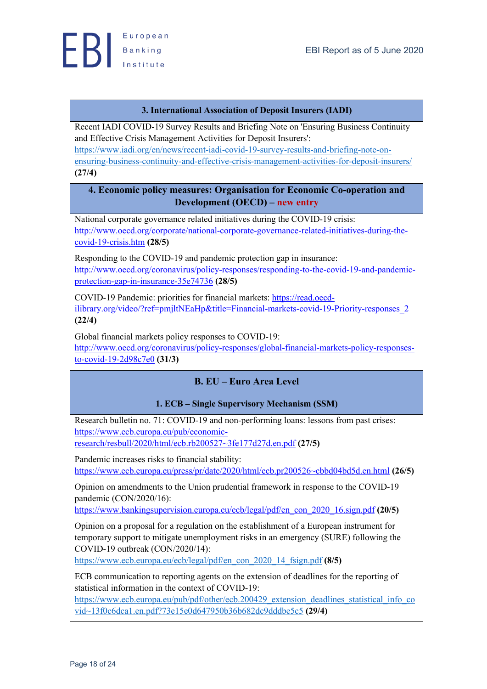

### **3. International Association of Deposit Insurers (IADI)**

Recent IADI COVID-19 Survey Results and Briefing Note on 'Ensuring Business Continuity and Effective Crisis Management Activities for Deposit Insurers': https://www.iadi.org/en/news/recent-iadi-covid-19-survey-results-and-briefing-note-onensuring-business-continuity-and-effective-crisis-management-activities-for-deposit-insurers/ **(27/4)**

### **4. Economic policy measures: Organisation for Economic Co-operation and Development (OECD) – new entry**

National corporate governance related initiatives during the COVID-19 crisis: http://www.oecd.org/corporate/national-corporate-governance-related-initiatives-during-thecovid-19-crisis.htm **(28/5)**

Responding to the COVID-19 and pandemic protection gap in insurance: http://www.oecd.org/coronavirus/policy-responses/responding-to-the-covid-19-and-pandemicprotection-gap-in-insurance-35e74736 **(28/5)**

COVID-19 Pandemic: priorities for financial markets: https://read.oecdilibrary.org/video/?ref=pmjltNEaHp&title=Financial-markets-covid-19-Priority-responses\_2 **(22/4)**

Global financial markets policy responses to COVID-19:

http://www.oecd.org/coronavirus/policy-responses/global-financial-markets-policy-responsesto-covid-19-2d98c7e0 **(31/3)**

### **B. EU – Euro Area Level**

### **1. ECB – Single Supervisory Mechanism (SSM)**

Research bulletin no. 71: COVID-19 and non-performing loans: lessons from past crises: https://www.ecb.europa.eu/pub/economicresearch/resbull/2020/html/ecb.rb200527~3fe177d27d.en.pdf **(27/5)**

Pandemic increases risks to financial stability: https://www.ecb.europa.eu/press/pr/date/2020/html/ecb.pr200526~cbbd04bd5d.en.html **(26/5)**

Opinion on amendments to the Union prudential framework in response to the COVID-19 pandemic (CON/2020/16):

https://www.bankingsupervision.europa.eu/ecb/legal/pdf/en\_con\_2020\_16.sign.pdf **(20/5)**

Opinion on a proposal for a regulation on the establishment of a European instrument for temporary support to mitigate unemployment risks in an emergency (SURE) following the COVID-19 outbreak (CON/2020/14):

https://www.ecb.europa.eu/ecb/legal/pdf/en\_con\_2020\_14\_fsign.pdf **(8/5)**

ECB communication to reporting agents on the extension of deadlines for the reporting of statistical information in the context of COVID-19:

https://www.ecb.europa.eu/pub/pdf/other/ecb.200429\_extension\_deadlines\_statistical\_info\_co vid~13f0c6dca1.en.pdf?73e15e0d647950b36b682dc9dddbe5c5 **(29/4)**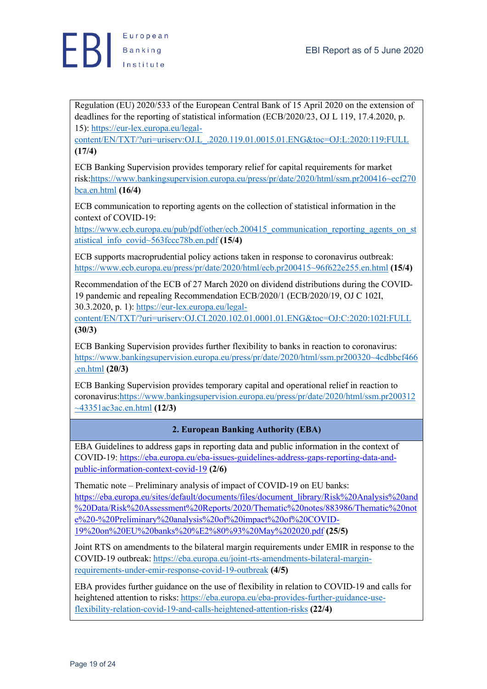Regulation (EU) 2020/533 of the European Central Bank of 15 April 2020 on the extension of deadlines for the reporting of statistical information (ECB/2020/23, OJ L 119, 17.4.2020, p. 15): https://eur-lex.europa.eu/legal-

content/EN/TXT/?uri=uriserv:OJ.L\_.2020.119.01.0015.01.ENG&toc=OJ:L:2020:119:FULL **(17/4)**

ECB Banking Supervision provides temporary relief for capital requirements for market risk:https://www.bankingsupervision.europa.eu/press/pr/date/2020/html/ssm.pr200416~ecf270 bca.en.html **(16/4)**

ECB communication to reporting agents on the collection of statistical information in the context of COVID-19:

https://www.ecb.europa.eu/pub/pdf/other/ecb.200415 communication reporting agents on st atistical\_info\_covid~563fccc78b.en.pdf **(15/4)**

ECB supports macroprudential policy actions taken in response to coronavirus outbreak: https://www.ecb.europa.eu/press/pr/date/2020/html/ecb.pr200415~96f622e255.en.html **(15/4)**

Recommendation of the ECB of 27 March 2020 on dividend distributions during the COVID-19 pandemic and repealing Recommendation ECB/2020/1 (ECB/2020/19, OJ C 102I, 30.3.2020, p. 1): https://eur-lex.europa.eu/legal-

content/EN/TXT/?uri=uriserv:OJ.CI.2020.102.01.0001.01.ENG&toc=OJ:C:2020:102I:FULL **(30/3)**

ECB Banking Supervision provides further flexibility to banks in reaction to coronavirus: https://www.bankingsupervision.europa.eu/press/pr/date/2020/html/ssm.pr200320~4cdbbcf466 .en.html **(20/3)**

ECB Banking Supervision provides temporary capital and operational relief in reaction to coronavirus:https://www.bankingsupervision.europa.eu/press/pr/date/2020/html/ssm.pr200312 ~43351ac3ac.en.html **(12/3)**

### **2. European Banking Authority (EBA)**

EBA Guidelines to address gaps in reporting data and public information in the context of COVID-19: https://eba.europa.eu/eba-issues-guidelines-address-gaps-reporting-data-andpublic-information-context-covid-19 **(2/6)**

Thematic note – Preliminary analysis of impact of COVID-19 on EU banks: https://eba.europa.eu/sites/default/documents/files/document\_library/Risk%20Analysis%20and %20Data/Risk%20Assessment%20Reports/2020/Thematic%20notes/883986/Thematic%20not e%20-%20Preliminary%20analysis%20of%20impact%20of%20COVID-19%20on%20EU%20banks%20%E2%80%93%20May%202020.pdf **(25/5)**

Joint RTS on amendments to the bilateral margin requirements under EMIR in response to the COVID-19 outbreak: https://eba.europa.eu/joint-rts-amendments-bilateral-marginrequirements-under-emir-response-covid-19-outbreak **(4/5)**

EBA provides further guidance on the use of flexibility in relation to COVID-19 and calls for heightened attention to risks: https://eba.europa.eu/eba-provides-further-guidance-useflexibility-relation-covid-19-and-calls-heightened-attention-risks **(22/4)**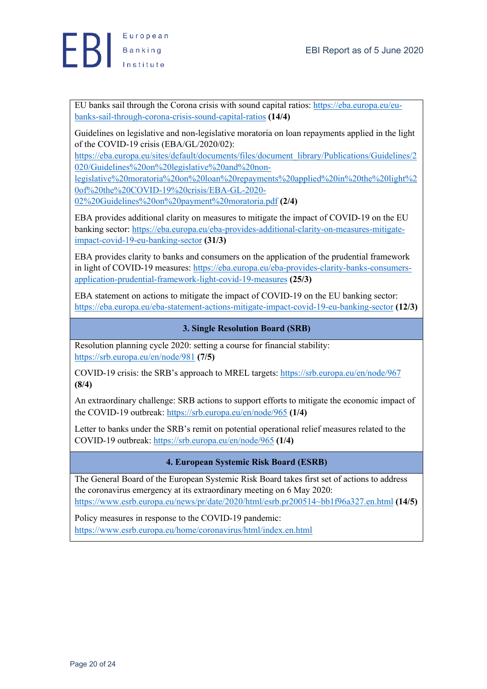

EU banks sail through the Corona crisis with sound capital ratios: https://eba.europa.eu/eubanks-sail-through-corona-crisis-sound-capital-ratios **(14/4)**

Guidelines on legislative and non-legislative moratoria on loan repayments applied in the light of the COVID-19 crisis (EBA/GL/2020/02):

https://eba.europa.eu/sites/default/documents/files/document\_library/Publications/Guidelines/2 020/Guidelines%20on%20legislative%20and%20non-

legislative%20moratoria%20on%20loan%20repayments%20applied%20in%20the%20light%2 0of%20the%20COVID-19%20crisis/EBA-GL-2020-

02%20Guidelines%20on%20payment%20moratoria.pdf **(2/4)**

EBA provides additional clarity on measures to mitigate the impact of COVID-19 on the EU banking sector: https://eba.europa.eu/eba-provides-additional-clarity-on-measures-mitigateimpact-covid-19-eu-banking-sector **(31/3)**

EBA provides clarity to banks and consumers on the application of the prudential framework in light of COVID-19 measures: https://eba.europa.eu/eba-provides-clarity-banks-consumersapplication-prudential-framework-light-covid-19-measures **(25/3)**

EBA statement on actions to mitigate the impact of COVID-19 on the EU banking sector: https://eba.europa.eu/eba-statement-actions-mitigate-impact-covid-19-eu-banking-sector **(12/3)**

#### **3. Single Resolution Board (SRB)**

Resolution planning cycle 2020: setting a course for financial stability: https://srb.europa.eu/en/node/981 **(7/5)**

COVID-19 crisis: the SRB's approach to MREL targets: https://srb.europa.eu/en/node/967 **(8/4)**

An extraordinary challenge: SRB actions to support efforts to mitigate the economic impact of the COVID-19 outbreak: https://srb.europa.eu/en/node/965 **(1/4)**

Letter to banks under the SRB's remit on potential operational relief measures related to the COVID-19 outbreak: https://srb.europa.eu/en/node/965 **(1/4)**

### **4. European Systemic Risk Board (ESRB)**

The General Board of the European Systemic Risk Board takes first set of actions to address the coronavirus emergency at its extraordinary meeting on 6 May 2020: https://www.esrb.europa.eu/news/pr/date/2020/html/esrb.pr200514~bb1f96a327.en.html **(14/5)**

Policy measures in response to the COVID-19 pandemic:

https://www.esrb.europa.eu/home/coronavirus/html/index.en.html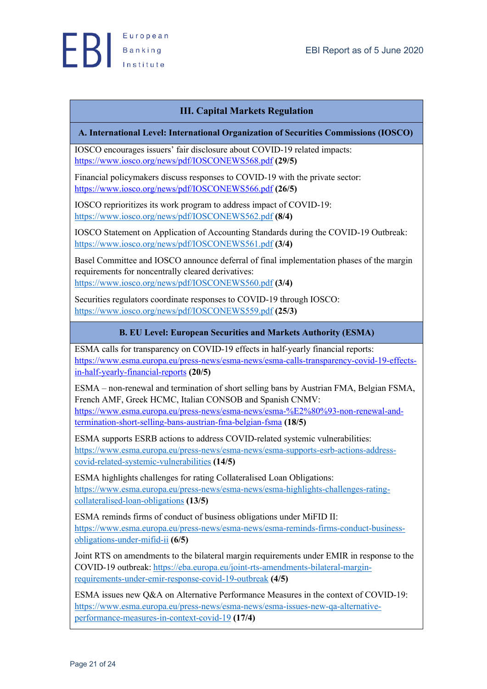

### **III. Capital Markets Regulation**

#### **A. International Level: International Organization of Securities Commissions (IOSCO)**

IOSCO encourages issuers' fair disclosure about COVID-19 related impacts: https://www.iosco.org/news/pdf/IOSCONEWS568.pdf **(29/5)**

Financial policymakers discuss responses to COVID-19 with the private sector: https://www.iosco.org/news/pdf/IOSCONEWS566.pdf **(26/5)**

IOSCO reprioritizes its work program to address impact of COVID-19: https://www.iosco.org/news/pdf/IOSCONEWS562.pdf **(8/4)**

IOSCO Statement on Application of Accounting Standards during the COVID-19 Outbreak: https://www.iosco.org/news/pdf/IOSCONEWS561.pdf **(3/4)**

Basel Committee and IOSCO announce deferral of final implementation phases of the margin requirements for noncentrally cleared derivatives: https://www.iosco.org/news/pdf/IOSCONEWS560.pdf **(3/4)**

Securities regulators coordinate responses to COVID-19 through IOSCO: https://www.iosco.org/news/pdf/IOSCONEWS559.pdf **(25/3)**

### **B. EU Level: European Securities and Markets Authority (ESMA)**

ESMA calls for transparency on COVID-19 effects in half-yearly financial reports: https://www.esma.europa.eu/press-news/esma-news/esma-calls-transparency-covid-19-effectsin-half-yearly-financial-reports **(20/5)**

ESMA – non-renewal and termination of short selling bans by Austrian FMA, Belgian FSMA, French AMF, Greek HCMC, Italian CONSOB and Spanish CNMV: https://www.esma.europa.eu/press-news/esma-news/esma-%E2%80%93-non-renewal-andtermination-short-selling-bans-austrian-fma-belgian-fsma **(18/5)**

ESMA supports ESRB actions to address COVID-related systemic vulnerabilities: https://www.esma.europa.eu/press-news/esma-news/esma-supports-esrb-actions-addresscovid-related-systemic-vulnerabilities **(14/5)**

ESMA highlights challenges for rating Collateralised Loan Obligations: https://www.esma.europa.eu/press-news/esma-news/esma-highlights-challenges-ratingcollateralised-loan-obligations **(13/5)**

ESMA reminds firms of conduct of business obligations under MiFID II: https://www.esma.europa.eu/press-news/esma-news/esma-reminds-firms-conduct-businessobligations-under-mifid-ii **(6/5)**

Joint RTS on amendments to the bilateral margin requirements under EMIR in response to the COVID-19 outbreak: https://eba.europa.eu/joint-rts-amendments-bilateral-marginrequirements-under-emir-response-covid-19-outbreak **(4/5)**

ESMA issues new Q&A on Alternative Performance Measures in the context of COVID-19: https://www.esma.europa.eu/press-news/esma-news/esma-issues-new-qa-alternativeperformance-measures-in-context-covid-19 **(17/4)**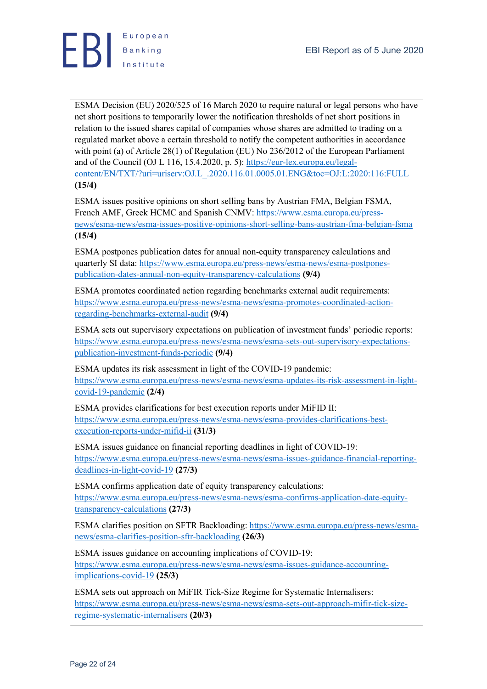

ESMA Decision (EU) 2020/525 of 16 March 2020 to require natural or legal persons who have net short positions to temporarily lower the notification thresholds of net short positions in relation to the issued shares capital of companies whose shares are admitted to trading on a regulated market above a certain threshold to notify the competent authorities in accordance with point (a) of Article 28(1) of Regulation (EU) No 236/2012 of the European Parliament and of the Council (OJ L 116, 15.4.2020, p. 5): https://eur-lex.europa.eu/legalcontent/EN/TXT/?uri=uriserv:OJ.L\_.2020.116.01.0005.01.ENG&toc=OJ:L:2020:116:FULL **(15/4)**

ESMA issues positive opinions on short selling bans by Austrian FMA, Belgian FSMA, French AMF, Greek HCMC and Spanish CNMV: https://www.esma.europa.eu/pressnews/esma-news/esma-issues-positive-opinions-short-selling-bans-austrian-fma-belgian-fsma **(15/4)**

ESMA postpones publication dates for annual non-equity transparency calculations and quarterly SI data: https://www.esma.europa.eu/press-news/esma-news/esma-postponespublication-dates-annual-non-equity-transparency-calculations **(9/4)**

ESMA promotes coordinated action regarding benchmarks external audit requirements: https://www.esma.europa.eu/press-news/esma-news/esma-promotes-coordinated-actionregarding-benchmarks-external-audit **(9/4)**

ESMA sets out supervisory expectations on publication of investment funds' periodic reports: https://www.esma.europa.eu/press-news/esma-news/esma-sets-out-supervisory-expectationspublication-investment-funds-periodic **(9/4)**

ESMA updates its risk assessment in light of the COVID-19 pandemic: https://www.esma.europa.eu/press-news/esma-news/esma-updates-its-risk-assessment-in-lightcovid-19-pandemic **(2/4)**

ESMA provides clarifications for best execution reports under MiFID II: https://www.esma.europa.eu/press-news/esma-news/esma-provides-clarifications-bestexecution-reports-under-mifid-ii **(31/3)**

ESMA issues guidance on financial reporting deadlines in light of COVID-19: https://www.esma.europa.eu/press-news/esma-news/esma-issues-guidance-financial-reportingdeadlines-in-light-covid-19 **(27/3)**

ESMA confirms application date of equity transparency calculations: https://www.esma.europa.eu/press-news/esma-news/esma-confirms-application-date-equitytransparency-calculations **(27/3)**

ESMA clarifies position on SFTR Backloading: https://www.esma.europa.eu/press-news/esmanews/esma-clarifies-position-sftr-backloading **(26/3)**

ESMA issues guidance on accounting implications of COVID-19: https://www.esma.europa.eu/press-news/esma-news/esma-issues-guidance-accountingimplications-covid-19 **(25/3)**

ESMA sets out approach on MiFIR Tick-Size Regime for Systematic Internalisers: https://www.esma.europa.eu/press-news/esma-news/esma-sets-out-approach-mifir-tick-sizeregime-systematic-internalisers **(20/3)**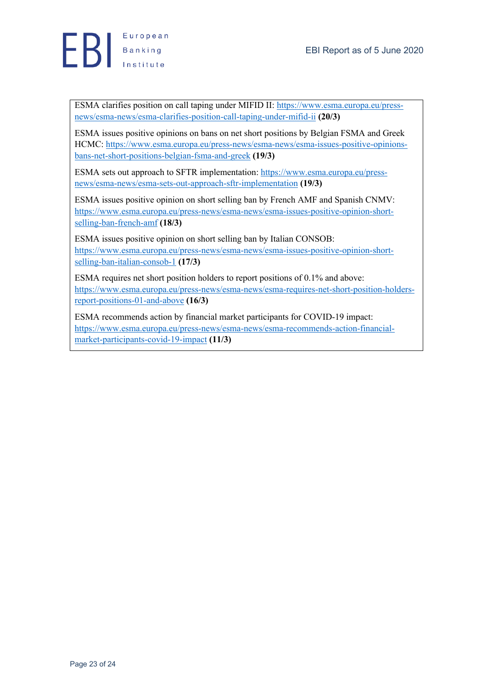

ESMA clarifies position on call taping under MIFID II: https://www.esma.europa.eu/pressnews/esma-news/esma-clarifies-position-call-taping-under-mifid-ii **(20/3)**

ESMA issues positive opinions on bans on net short positions by Belgian FSMA and Greek HCMC: https://www.esma.europa.eu/press-news/esma-news/esma-issues-positive-opinionsbans-net-short-positions-belgian-fsma-and-greek **(19/3)**

ESMA sets out approach to SFTR implementation: https://www.esma.europa.eu/pressnews/esma-news/esma-sets-out-approach-sftr-implementation **(19/3)**

ESMA issues positive opinion on short selling ban by French AMF and Spanish CNMV: https://www.esma.europa.eu/press-news/esma-news/esma-issues-positive-opinion-shortselling-ban-french-amf **(18/3)**

ESMA issues positive opinion on short selling ban by Italian CONSOB: https://www.esma.europa.eu/press-news/esma-news/esma-issues-positive-opinion-shortselling-ban-italian-consob-1 **(17/3)**

ESMA requires net short position holders to report positions of 0.1% and above: https://www.esma.europa.eu/press-news/esma-news/esma-requires-net-short-position-holdersreport-positions-01-and-above **(16/3)**

ESMA recommends action by financial market participants for COVID-19 impact: https://www.esma.europa.eu/press-news/esma-news/esma-recommends-action-financialmarket-participants-covid-19-impact **(11/3)**